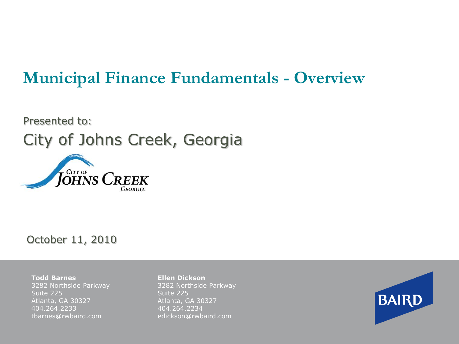# **Municipal Finance Fundamentals - Overview**

# Presented to: City of Johns Creek, Georgia



#### October 11, 2010

**Todd Barnes** 3282 Northside Parkway Suite 225 Atlanta, GA 30327 404.264.2233 tbarnes@rwbaird.com

**Ellen Dickson** 3282 Northside Parkway Suite 225 Atlanta, GA 30327 404.264.2234 edickson@rwbaird.com

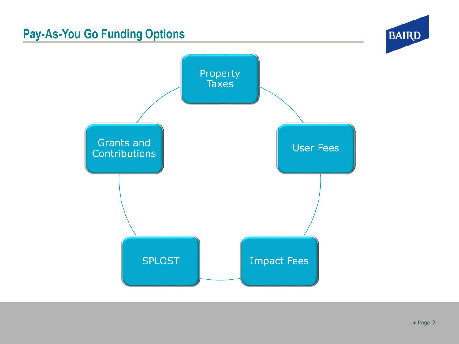## **Pay-As-You Go Funding Options**



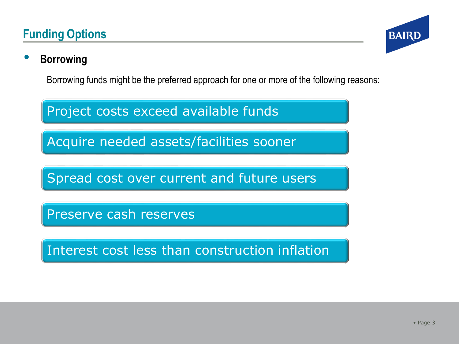### **Funding Options**



### • **Borrowing**

Borrowing funds might be the preferred approach for one or more of the following reasons:

Project costs exceed available funds

Acquire needed assets/facilities sooner

Spread cost over current and future users

Preserve cash reserves

Interest cost less than construction inflation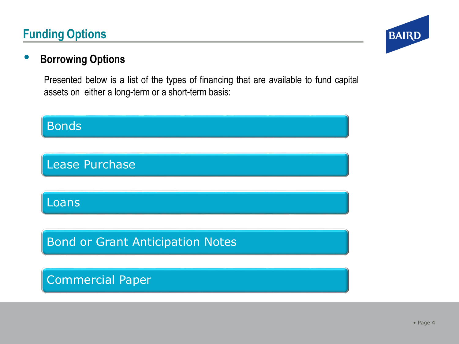### **Funding Options**



### • **Borrowing Options**

Presented below is a list of the types of financing that are available to fund capital assets on either a long-term or a short-term basis:

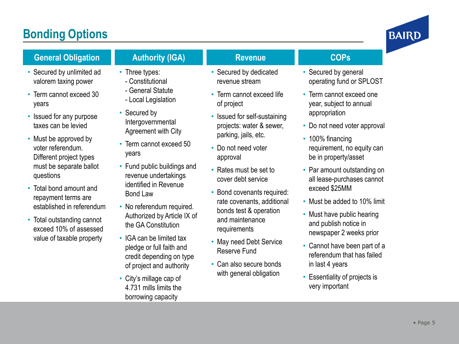### **Bonding Options**



#### **General Obligation**

- 
- Secured by unlimited ad valorem taxing power
- Term cannot exceed 30 years
- Issued for any purpose taxes can be levied
- Must be approved by voter referendum. Different project types must be separate ballot questions
- Total bond amount and repayment terms are established in referendum
- Total outstanding cannot exceed 10% of assessed value of taxable property

### **Authority (IGA)**

- Three types: - Constitutional
- General Statute
- Local Legislation
- Secured by Intergovernmental Agreement with City
- Term cannot exceed 50 years
- Fund public buildings and revenue undertakings identified in Revenue Bond Law
- No referendum required. Authorized by Article IX of the GA Constitution
- IGA can be limited tax pledge or full faith and credit depending on type of project and authority
- City's millage cap of 4.731 mills limits the borrowing capacity

#### **Revenue**

- Secured by dedicated revenue stream
- Term cannot exceed life of project
- Issued for self-sustaining projects: water & sewer, parking, jails, etc.
- Do not need voter approval
- Rates must be set to cover debt service
- Bond covenants required: rate covenants, additional bonds test & operation and maintenance requirements
- May need Debt Service Reserve Fund
- Can also secure bonds with general obligation

#### **COPs**

- Secured by general operating fund or SPLOST
- Term cannot exceed one year, subject to annual appropriation
- Do not need voter approval
- 100% financing requirement, no equity can be in property/asset
- Par amount outstanding on all lease -purchases cannot exceed \$25MM
- Must be added to 10% limit
- Must have public hearing and publish notice in newspaper 2 weeks prior
- Cannot have been part of a referendum that has failed in last 4 years
- Essentiality of projects is very important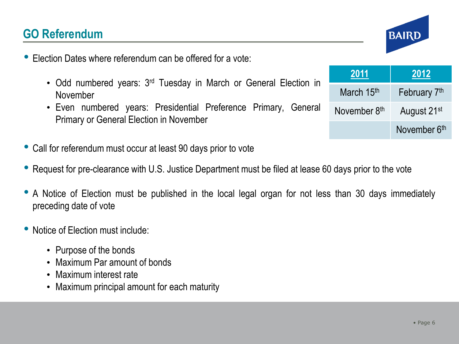### **GO Referendum**

- Election Dates where referendum can be offered for <sup>a</sup> vote:
	- Odd numbered years: 3<sup>rd</sup> Tuesday in March or General Election in November
	- Even numbered years: Presidential Preference Primary, General Primary or General Election in November
- Call for referendum must occur at least <sup>90</sup> days prior to vote
- Request for pre-clearance with U.S. Justice Department must be filed at lease <sup>60</sup> days prior to the vote
- <sup>A</sup> Notice of Election must be published in the local legal organ for not less than <sup>30</sup> days immediately preceding date of vote
- Notice of Election must include:
	- Purpose of the bonds
	- Maximum Par amount of bonds
	- Maximum interest rate
	- Maximum principal amount for each maturity

| 2011         | 2012                     |  |
|--------------|--------------------------|--|
| March 15th   | February 7 <sup>th</sup> |  |
| November 8th | August 21 <sup>st</sup>  |  |
|              | November 6th             |  |

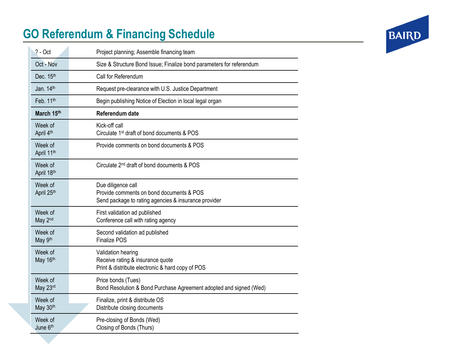# **GO Referendum & Financing Schedule**

| $? - Oct$             | Project planning; Assemble financing team                                                                              |
|-----------------------|------------------------------------------------------------------------------------------------------------------------|
| Oct - Nov             | Size & Structure Bond Issue; Finalize bond parameters for referendum                                                   |
| Dec. 15th             | Call for Referendum                                                                                                    |
| Jan. $14th$           | Request pre-clearance with U.S. Justice Department                                                                     |
| Feb. 11th             | Begin publishing Notice of Election in local legal organ                                                               |
| March 15th            | Referendum date                                                                                                        |
| Week of<br>April 4th  | Kick-off call<br>Circulate 1 <sup>st</sup> draft of bond documents & POS                                               |
| Week of<br>April 11th | Provide comments on bond documents & POS                                                                               |
| Week of<br>April 18th | Circulate 2 <sup>nd</sup> draft of bond documents & POS                                                                |
| Week of<br>April 25th | Due diligence call<br>Provide comments on bond documents & POS<br>Send package to rating agencies & insurance provider |
| Week of<br>May 2nd    | First validation ad published<br>Conference call with rating agency                                                    |
| Week of<br>May 9th    | Second validation ad published<br><b>Finalize POS</b>                                                                  |
| Week of<br>May 16th   | Validation hearing<br>Receive rating & insurance quote<br>Print & distribute electronic & hard copy of POS             |
| Week of<br>May 23rd   | Price bonds (Tues)<br>Bond Resolution & Bond Purchase Agreement adopted and signed (Wed)                               |
| Week of<br>May 30th   | Finalize, print & distribute OS<br>Distribute closing documents                                                        |
| Week of<br>June 6th   | Pre-closing of Bonds (Wed)<br>Closing of Bonds (Thurs)                                                                 |

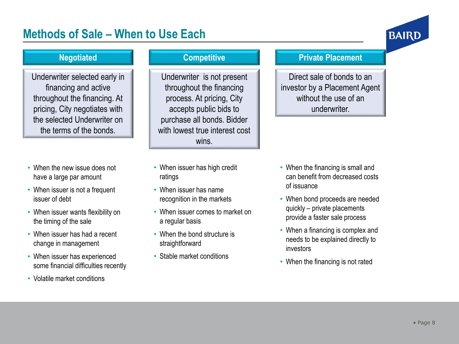### **Methods of Sale – When to Use Each**



#### **Negotiated**

Underwriter selected early in financing and active throughout the financing. At pricing, City negotiates with the selected Underwriter on the terms of the bonds.

- When the new issue does not have a large par amount
- When issuer is not a frequent issuer of debt
- When issuer wants flexibility on the timing of the sale
- When issuer has had a recent change in management
- When issuer has experienced some financial difficulties recently
- Volatile market conditions

#### **Competitive**

Underwriter is not present throughout the financing process. At pricing, City accepts public bids to purchase all bonds. Bidder with lowest true interest cost wins.

- When issuer has high credit ratings
- When issuer has name recognition in the markets
- When issuer comes to market on a regular basis
- When the bond structure is straightforward
- Stable market conditions

#### **Private Placement**

Direct sale of bonds to an investor by a Placement Agent without the use of an underwriter.

- When the financing is small and can benefit from decreased costs of issuance
- When bond proceeds are needed quickly – private placements provide a faster sale process
- When a financing is complex and needs to be explained directly to investors
- When the financing is not rated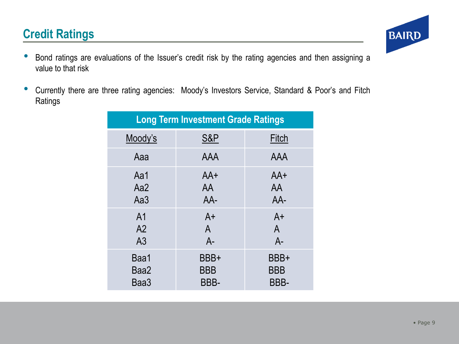### **Credit Ratings**

- Bond ratings are evaluations of the Issuer's credit risk by the rating agencies and then assigning <sup>a</sup> value to that risk
- Currently there are three rating agencies: Moody's Investors Service, Standard & Poor's and Fitch Ratings

| <b>Long Term Investment Grade Ratings</b> |                |                |  |  |
|-------------------------------------------|----------------|----------------|--|--|
| Moody's                                   | <b>S&amp;P</b> | Fitch          |  |  |
| Aaa                                       | <b>AAA</b>     | <b>AAA</b>     |  |  |
| Aa1                                       | $AA+$          | $AA+$          |  |  |
| Aa2                                       | AA             | AA             |  |  |
| Aa3                                       | AA-            | AA-            |  |  |
| A <sub>1</sub>                            | $A+$           | $A+$           |  |  |
| A2                                        | $\overline{A}$ | $\overline{A}$ |  |  |
| A <sub>3</sub>                            | $A -$          | $A -$          |  |  |
| Baa1                                      | BBB+           | BBB+           |  |  |
| Baa2                                      | <b>BBB</b>     | <b>BBB</b>     |  |  |
| Baa3                                      | BBB-           | BBB-           |  |  |

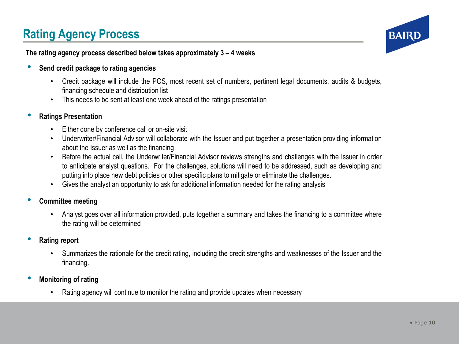# **Rating Agency Process**



#### **The rating agency process described below takes approximately 3 – 4 weeks**

- **Send credit package to rating agencies**
	- Credit package will include the POS, most recent set of numbers, pertinent legal documents, audits & budgets, financing schedule and distribution list
	- This needs to be sent at least one week ahead of the ratings presentation

#### • **Ratings Presentation**

- Either done by conference call or on-site visit
- Underwriter/Financial Advisor will collaborate with the Issuer and put together a presentation providing information about the Issuer as well as the financing
- Before the actual call, the Underwriter/Financial Advisor reviews strengths and challenges with the Issuer in order to anticipate analyst questions. For the challenges, solutions will need to be addressed, such as developing and putting into place new debt policies or other specific plans to mitigate or eliminate the challenges.
- Gives the analyst an opportunity to ask for additional information needed for the rating analysis
- **Committee meeting**
	- Analyst goes over all information provided, puts together a summary and takes the financing to a committee where the rating will be determined
- **Rating report**
	- Summarizes the rationale for the credit rating, including the credit strengths and weaknesses of the Issuer and the financing.
- **Monitoring of rating**
	- Rating agency will continue to monitor the rating and provide updates when necessary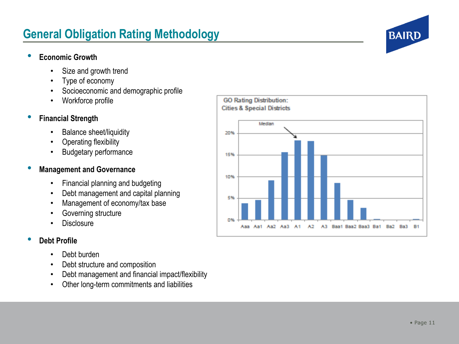### **General Obligation Rating Methodology**

#### • **Economic Growth**

- Size and growth trend
- Type of economy
- Socioeconomic and demographic profile
- Workforce profile

#### • **Financial Strength**

- Balance sheet/liquidity
- Operating flexibility
- Budgetary performance

#### • **Management and Governance**

- Financial planning and budgeting
- Debt management and capital planning
- Management of economy/tax base
- Governing structure
- **Disclosure**

#### • **Debt Profile**

- Debt burden
- Debt structure and composition
- Debt management and financial impact/flexibility
- Other long-term commitments and liabilities



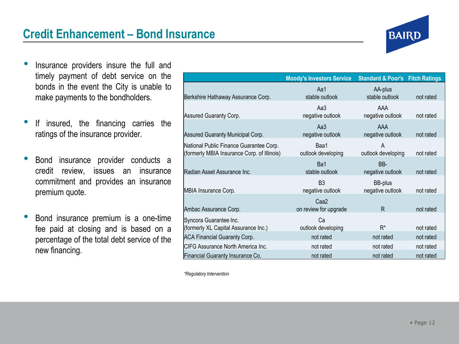

- Insurance providers insure the full and timely payment of debt service on the bonds in the event the City is unable to make payments to the bondholders.
- If insured, the financing carries the ratings of the insurance provider.
- Bond insurance provider conducts a credit review, issues an insurance commitment and provides an insurance premium quote.
- Bond insurance premium is <sup>a</sup> one-time fee paid at closing and is based on a percentage of the total debt service of the new financing.

|                                                                                        | <b>Moody's Investors Service</b>          | <b>Standard &amp; Poor's</b>       | <b>Fitch Ratings</b> |
|----------------------------------------------------------------------------------------|-------------------------------------------|------------------------------------|----------------------|
| Berkshire Hathaway Assurance Corp.                                                     | Aa1<br>stable outlook                     | AA-plus<br>stable outlook          | not rated            |
| Assured Guaranty Corp.                                                                 | Aa3<br>negative outlook                   | AAA<br>negative outlook            | not rated            |
| Assured Guaranty Municipal Corp.                                                       | Aa3<br>negative outlook                   | AAA<br>negative outlook            | not rated            |
| National Public Finance Guarantee Corp.<br>(formerly MBIA Insurance Corp. of Illinois) | Baa1<br>outlook developing                | A<br>outlook developing            | not rated            |
| Radian Asset Assurance Inc.                                                            | Ba1<br>stable outlook                     | BB-<br>negative outlook            | not rated            |
| MBIA Insurance Corp.                                                                   | B <sub>3</sub><br>negative outlook        | <b>BB-plus</b><br>negative outlook | not rated            |
| Ambac Assurance Corp.                                                                  | Caa <sub>2</sub><br>on review for upgrade | R                                  | not rated            |
| Syncora Guarantee Inc.<br>(formerly XL Capital Assurance Inc.)                         | Cа<br>outlook developing                  | $R^*$                              | not rated            |
| <b>ACA Financial Guaranty Corp.</b>                                                    | not rated                                 | not rated                          | not rated            |
| CIFG Assurance North America Inc.                                                      | not rated                                 | not rated                          | not rated            |
| Financial Guaranty Insurance Co.                                                       | not rated                                 | not rated                          | not rated            |

*\*Regulatory Intervention*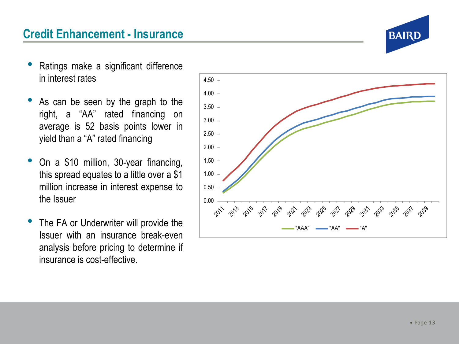

- Ratings make a significant difference in interest rates
- As can be seen by the graph to the right, a "AA" rated financing on average is 52 basis points lower in yield than a "A" rated financing
- On a \$10 million, 30-year financing, this spread equates to a little over a \$ 1 million increase in interest expense to the Issuer
- The FA or Underwriter will provide the Issuer with an insurance break -even analysis before pricing to determine if insurance is cost -effective.

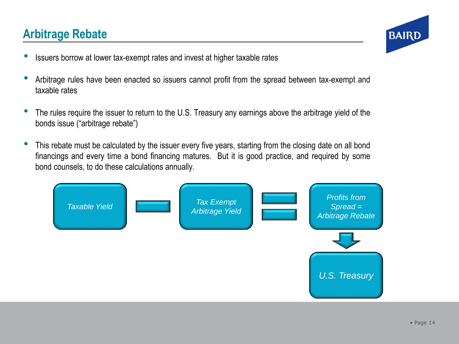### **Arbitrage Rebate**



- Issuers borrow at lower tax-exempt rates and invest at higher taxable rates
- Arbitrage rules have been enacted so issuers cannot profit from the spread between tax-exempt and taxable rates
- The rules require the issuer to return to the U.S. Treasury any earnings above the arbitrage yield of the bonds issue ("arbitrage rebate")
- This rebate must be calculated by the issuer every five years, starting from the closing date on all bond financings and every time a bond financing matures. But it is good practice, and required by some bond counsels, to do these calculations annually.

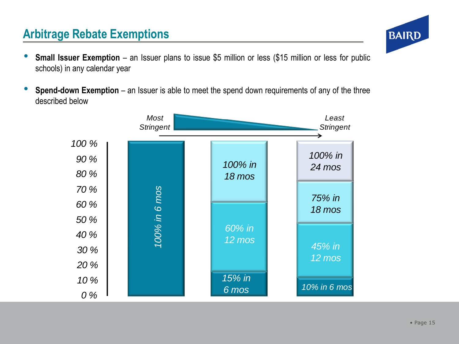### **Arbitrage Rebate Exemptions**

- **Small Issuer Exemption** an Issuer plans to issue \$5 million or less (\$15 million or less for public schools) in any calendar year
- **Spend-down Exemption** an Issuer is able to meet the spend down requirements of any of the three described below